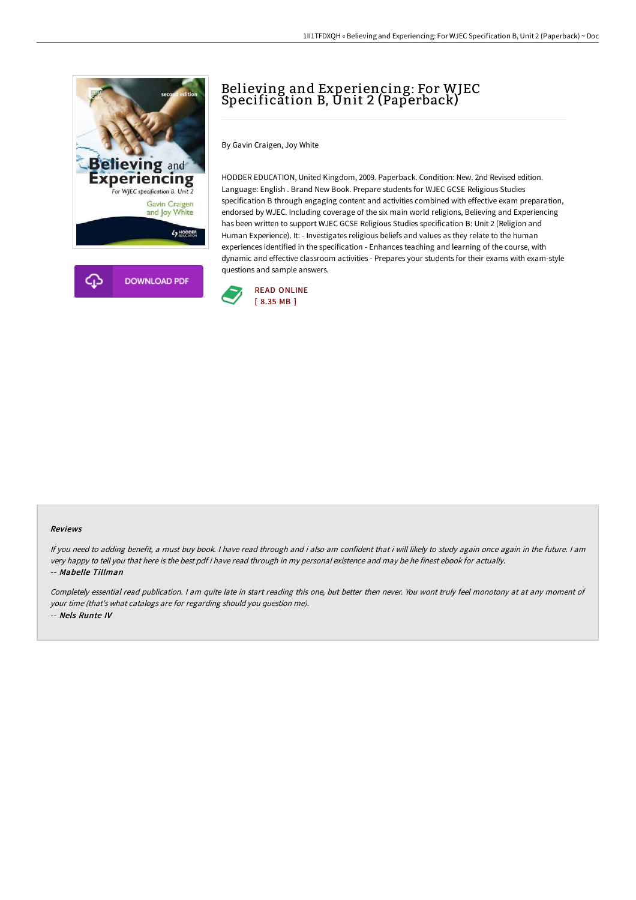

## Believing and Experiencing: For WJEC Specification B, Unit 2 (Paperback)

By Gavin Craigen, Joy White

HODDER EDUCATION, United Kingdom, 2009. Paperback. Condition: New. 2nd Revised edition. Language: English . Brand New Book. Prepare students for WJEC GCSE Religious Studies specification B through engaging content and activities combined with effective exam preparation, endorsed by WJEC. Including coverage of the six main world religions, Believing and Experiencing has been written to support WJEC GCSE Religious Studies specification B: Unit 2 (Religion and Human Experience). It: - Investigates religious beliefs and values as they relate to the human experiences identified in the specification - Enhances teaching and learning of the course, with dynamic and effective classroom activities - Prepares your students for their exams with exam-style questions and sample answers.



## Reviews

If you need to adding benefit, <sup>a</sup> must buy book. <sup>I</sup> have read through and i also am confident that i will likely to study again once again in the future. <sup>I</sup> am very happy to tell you that here is the best pdf i have read through in my personal existence and may be he finest ebook for actually. -- Mabelle Tillman

Completely essential read publication. <sup>I</sup> am quite late in start reading this one, but better then never. You wont truly feel monotony at at any moment of your time (that's what catalogs are for regarding should you question me). -- Nels Runte IV